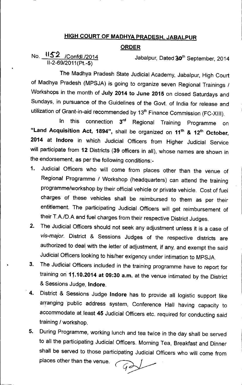## HIGH COURT OF MADHYA PRADESH, JABALPUR

## ORDER

## No. <u>IIS 2 /Confdl./2014</u> Jabalpur, Dated 30<sup>th</sup> September, 2014 *11-2-69/2011* (Pt.-5)

•

The Madhya Pradesh State Judicial Academy, Jabalpur, High Court of Madhya Pradesh (MPSJA) is going to organize seven Regional Trainings *1* Workshops in the month of July 2014 to June 2015 on closed Saturdays and Sundays, in pursuance of the Guidelines of the Govt. of India for release and utilization of Grant-in-aid recommended by 13<sup>th</sup> Finance Commission (FC-XIII).

In this connection 3<sup>rd</sup> Regional Training Programme on "Land Acquisition Act, 1894", shall be organized on 11<sup>th</sup> & 12<sup>th</sup> October, 2014 at Indore in which Judicial Officers from Higher Judicial Service will participate from 12 Districts (39 officers in all), whose names are shown in the endorsement, as per the following conditions:-

- 1. Judicial Officers who will come from places other than the venue of Regional Programme *1* Workshop (headquarters) can attend the training programme/workshop by their official vehicle or private vehicle. Cost of fuel charges of these vehicles shall be reimbursed to them as per their entitlement. The participating Judicial. Officers will get reimbursement of their *T.A./D.A* and fuel charges from their respective District Judges.
- 2. The Judicial Officers should not seek any adjustment unless it is a case of *vis-major.* District & Sessions Judges of the respective districts are authorized to deal with the letter of adjustment, if any, and exempt the said Judicial Officers looking to his/her exigency under intimation to MPSJA.
- 3. The Judicial Officers included in the training programme have to report for training on 11.10.2014 at 09:30 a.m. at the venue intimated by the District & Sessions Judge, Indore.
- 4. District & Sessions Judge Indore has to provide all logistic support like arranging public address system, Conference Hall having capacity to accommodate at least 45 Judicial Officers etc. required for conducting said training *1* workshop.
- 5. During Programme, working lunch and tea twice in the day shall be served to all the participating Judicial Officers. Morning Tea, Breakfast and Dinner shall be served to those participating Judicial Officers who will come from places other than the venue.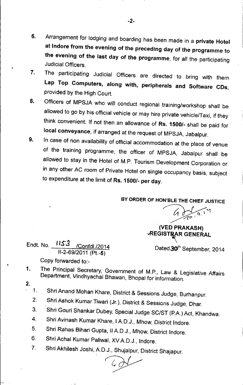- 6. Arrangement for lodging and boarding has been made in a private Hotel at Indore from the evening of the preceding day of the programme to the evening of the last day of the programme, for all the participating Judicial Officers .
- 7. The participating Judicial Officers are directed to bring with them Lap Top Computers, along with, peripherals and Software CDs, provided by the High Court.
- 8. Officers of MPSJA who will conduct regional training/workshop shall be allowed to go by his official vehicle or may hire private vehicle/Taxi, if they think convenient. If not then an allowance of Rs. 1500/- shall be paid for local conveyance, if arranged at the request of MPSJA, Jabalpur.
- 9. In case of non availability of official accommodation at the place of venue of the training programme, the officer of MPSJA, Jabalpur shall be allowed to stay in the Hotel of M.P. Tourism Development Corporation or in any other AC room of Private Hotel on single occupancy basis, subject to expenditure at the limit of Rs. 1500/- per day.

BY ORDER OF HON'BlE THE CHIEF JUSTICE

*~o"* (VED PRAKASH)

**VREGISTRAR GENERAL** 

Endt. No. 1153 /Confdl./2014 Dated 30<sup>th</sup> September, 2014 /1-2-69/2011 (Pt.-5)

- Copy forwarded to:-
- The Principal Secretary, Government of M.P., Law & Legislative Affairs Department, Vindhyachal Bhawan, Bhopal for information. 1.
- 2.

•

•

- 1. Shri Anand Mohan Khare, District & Sessions Judge, Burhanpur.
- 2. Shri Ashok Kumar Tiwari (Jr.), District & Sessions Judge, Dhar.
- 3. Shri Gouri Shankar Dubey, Special Judge SC/ST (P.A.) Act, Khandwa.
- 4. Shri Avinash Kumar Khare, I A.D.J., Mhow, District Indore.
- 5. Shri Rahas Bihari Gupta, /I A.D.J., Mhow, District Indore.
- 6. Shri Achal Kumar Paliwal, XV A.D.J., Indore.
- 7. Shri Akhilesh Joshi, AD.J., Shujalpur, District Shajapur.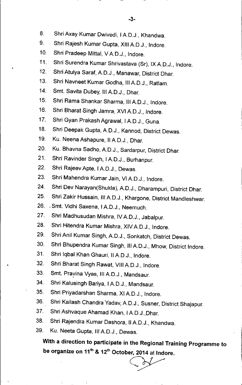- 8. Shri Axay Kumar Dwivedi, I A.D.J., Khandwa.
- 9. Shri Rajesh Kumar Gupta, XIII A.D.J., Indore.
- 10. Shri Pradeep Mittal, VA.D.J., Indore.
- 11. Shri Surendra Kumar Shrivastava (Sr), IX A.D.J., Indore.
- 12. Shri Atulya Saraf, A.D.J., Manawar, District Dhar.
- 13. Shri Navneet Kumar Godha, III A.D.J., Ratlam.
- 14. Smt. Savita Dubey, III A.D.J., Dhar.

•

- 15. Shri Rama Shankar Sharma, III A.D.J., Indore.
- 16. Shri Bharat Singh Jamra, XVI A.D.J., Indore.
- 17. Shri Gyan Prakash Agrawal, I A.D.J., Guna.
- 18. Shri Deepak Gupta, A.D.J., Kannod, District Dewas.
- 19. Ku. Neena Ashapure, II A.D.J., Dhar.
- 20. Ku. Bhavna Sadho, A.D.J., Sardarpur, District Dhar.
- 21. Shri Ravinder Singh, IAD.J., Burhanpur.
- 22. Shri Rajeev Apte, I A.D.J., Dewas.
- 23. Shri Mahendra Kumar Jain, VI A.D.J., Indore.
- 24. Shri Dev Narayan(Shukla), A.D.J., Dharampuri, District Dhar.
- 25. Shri Zakir Hussain, III A.D.J., Khargone, District Mandleshwar.
- 26. .Smt. Vidhi Saxena, IAD.J., Neemuch.
- 27. Shri Madhusudan Mishra, IV A.D.J., Jabalpur.
- 28. Shri Hitendra Kumar Mishra, XIV A.D.J., Indore.
- 29. Shri Anil Kumar Singh, A.D.J., Sonkatch, District Dewas.
- 30. Shri Bhupendra Kumar Singh, IIIAD.J., Mhow, District Indore.
- 31. Shri Iqbal Khan Ghauri, IIAD.J., Indore.
- 32. Shri Bharat Singh Rawat, VIII A.D.J., Indore.
- 33. Smt. Pravina Vyas, III A.D.J., Mandsaur.
- 34. Shri Kalusingh Bariya, IAD.J., Mandsaur.
- 35. Shri Priyadarshan Sharma, XI A.D.J., Indore.
- 36. Shri Kailash Chandra Yadav, A.D.J., Susner, District Shajapur.
- 37. Shri Ashvaque Ahamad Khan, IAD.J.,Dhar.
- 38. Shri Rajendra Kumar Dashora, II A.D.J., Khandwa.
- 39. Ku. Neeta Gupta, III A.D.J., Dewas.

With a direction to participate in the Regional Training Programme to be organize on 11<sup>th</sup> & 12<sup>th</sup> October, 2014 at Indore.<br>
expansive the contract of the contract of the contract of the contract of the contract of the contract of the contract of the contract of the contract of the contra